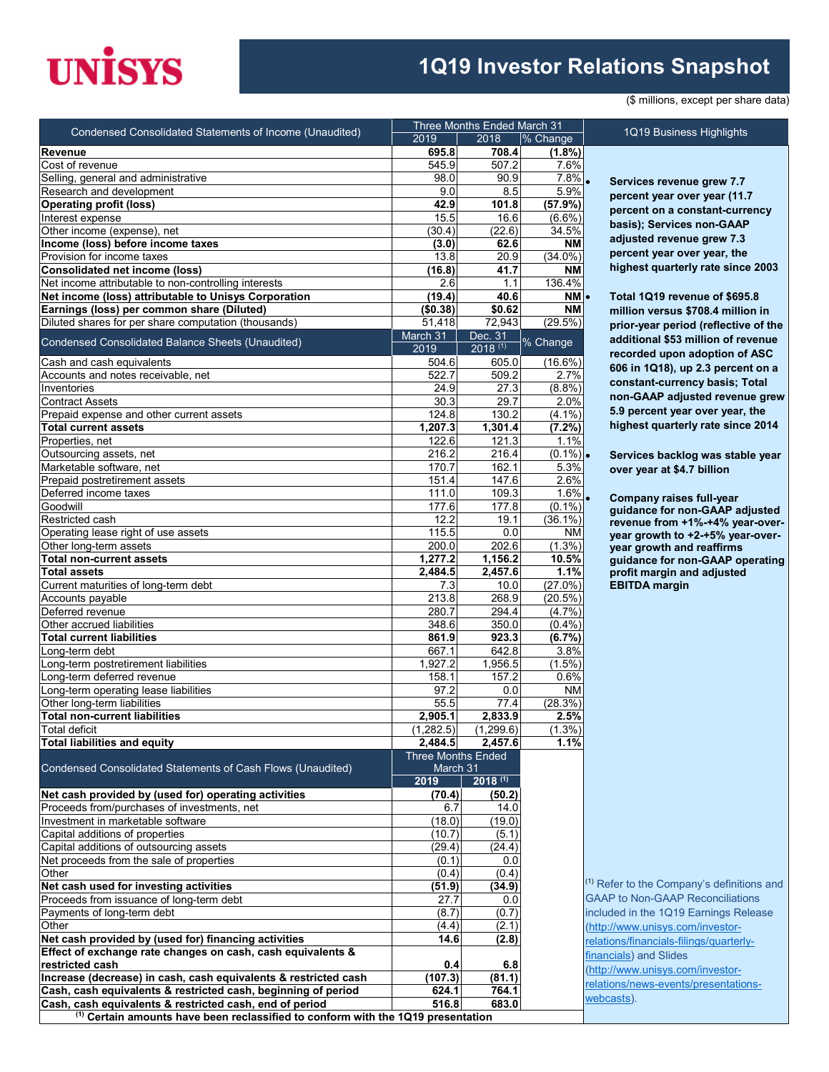## **UNISYS**

## **1Q19 Investor Relations Snapshot**

(\$ millions, except per share data)

|                                                                                             |                           | Three Months Ended March 31 |             |                                                  |  |
|---------------------------------------------------------------------------------------------|---------------------------|-----------------------------|-------------|--------------------------------------------------|--|
| Condensed Consolidated Statements of Income (Unaudited)                                     | 2019                      | 2018                        | % Change    | 1Q19 Business Highlights                         |  |
| <b>Revenue</b>                                                                              | 695.8                     | 708.4                       | (1.8%)      |                                                  |  |
| Cost of revenue                                                                             | 545.9                     | 507.2                       | 7.6%        |                                                  |  |
| Selling, general and administrative                                                         | 98.0                      | 90.9                        | $7.8\%$     | Services revenue grew 7.7                        |  |
| Research and development                                                                    | 9.0                       | 8.5                         | 5.9%        | percent year over year (11.                      |  |
| <b>Operating profit (loss)</b>                                                              | 42.9                      | 101.8                       | (57.9%)     |                                                  |  |
| Interest expense                                                                            | 15.5                      | 16.6                        | $(6.6\%)$   | percent on a constant-curr                       |  |
| Other income (expense), net                                                                 | (30.4)                    | (22.6)                      | 34.5%       | basis); Services non-GAAF                        |  |
| Income (loss) before income taxes                                                           | (3.0)                     | 62.6                        | ΝM          | adjusted revenue grew 7.3                        |  |
| Provision for income taxes                                                                  | 13.8                      | 20.9                        | $(34.0\%)$  | percent year over year, the                      |  |
| <b>Consolidated net income (loss)</b>                                                       | (16.8)                    | 41.7                        | NΜ          | highest quarterly rate since                     |  |
| Net income attributable to non-controlling interests                                        | 2.6                       | 1.1                         | 136.4%      |                                                  |  |
| Net income (loss) attributable to Unisys Corporation                                        | (19.4)                    | 40.6                        | NM-         | Total 1Q19 revenue of \$695                      |  |
| Earnings (loss) per common share (Diluted)                                                  | (\$0.38)                  | \$0.62                      | NΜ          | million versus \$708.4 millio                    |  |
| Diluted shares for per share computation (thousands)                                        | 51,418                    | 72,943                      | (29.5%)     |                                                  |  |
|                                                                                             | March 31                  | Dec. 31                     |             | prior-year period (reflective                    |  |
| Condensed Consolidated Balance Sheets (Unaudited)                                           | 2019                      | $2018^{(1)}$                | % Change    | additional \$53 million of re                    |  |
| Cash and cash equivalents                                                                   | 504.6                     | 605.0                       | $(16.6\%)$  | recorded upon adoption of                        |  |
| Accounts and notes receivable, net                                                          | 522.7                     | 509.2                       | 2.7%        | 606 in 1Q18), up 2.3 percer                      |  |
| Inventories                                                                                 | 24.9                      | 27.3                        | (8.8%)      | constant-currency basis; T                       |  |
| <b>Contract Assets</b>                                                                      | 30.3                      | 29.7                        | 2.0%        | non-GAAP adjusted revent                         |  |
|                                                                                             |                           |                             |             | 5.9 percent year over year,                      |  |
| Prepaid expense and other current assets                                                    | 124.8                     | 130.2                       | $(4.1\%)$   | highest quarterly rate since                     |  |
| <b>Total current assets</b>                                                                 | 1,207.3                   | 1,301.4                     | (7.2%)      |                                                  |  |
| Properties, net                                                                             | 122.6                     | 121.3                       | 1.1%        |                                                  |  |
| Outsourcing assets, net                                                                     | 216.2                     | 216.4                       | $(0.1\%)$ . | Services backlog was stab                        |  |
| Marketable software, net                                                                    | 170.7                     | 162.1                       | 5.3%        | over year at \$4.7 billion                       |  |
| Prepaid postretirement assets                                                               | 151.4                     | 147.6                       | 2.6%        |                                                  |  |
| Deferred income taxes                                                                       | 111.0                     | 109.3                       | $1.6\%$     | Company raises full-year                         |  |
| Goodwill                                                                                    | 177.6                     | 177.8                       | $(0.1\%)$   | quidance for non-GAAP ad                         |  |
| Restricted cash                                                                             | 12.2                      | 19.1                        | $(36.1\%)$  | revenue from +1%-+4% yea                         |  |
| Operating lease right of use assets                                                         | 115.5                     | 0.0                         | ΝM          | year growth to +2-+5% yea                        |  |
| Other long-term assets                                                                      | 200.0                     | 202.6                       | $(1.3\%)$   | year growth and reaffirms                        |  |
| <b>Total non-current assets</b>                                                             | 1,277.2                   | 1,156.2                     | 10.5%       | guidance for non-GAAP op                         |  |
| <b>Total assets</b>                                                                         | 2,484.5                   | 2,457.6                     | 1.1%        | profit margin and adjusted                       |  |
| Current maturities of long-term debt                                                        | 7.3                       | 10.0                        | $(27.0\%)$  | <b>EBITDA</b> margin                             |  |
| Accounts payable                                                                            | 213.8                     | 268.9                       | $(20.5\%)$  |                                                  |  |
| Deferred revenue                                                                            | 280.7                     | 294.4                       | (4.7%)      |                                                  |  |
| Other accrued liabilities                                                                   | 348.6                     | 350.0                       | (0.4% )     |                                                  |  |
| <b>Total current liabilities</b>                                                            | 861.9                     | 923.3                       | (6.7%)      |                                                  |  |
| Long-term debt                                                                              | 667.1                     | 642.8                       | 3.8%        |                                                  |  |
| Long-term postretirement liabilities                                                        | 1,927.2                   | 1,956.5                     | $(1.5\%)$   |                                                  |  |
| Long-term deferred revenue                                                                  | 158.1                     | 157.2                       | 0.6%        |                                                  |  |
| Long-term operating lease liabilities                                                       | 97.2                      | 0.0                         | <b>NM</b>   |                                                  |  |
| Other long-term liabilities                                                                 | 55.5                      | 77.4                        | (28.3%)     |                                                  |  |
| <b>Total non-current liabilities</b>                                                        | 2,905.1                   | 2,833.9                     | 2.5%        |                                                  |  |
| <b>Total deficit</b>                                                                        | (1, 282.5)                | (1, 299.6)                  | (1.3%)      |                                                  |  |
| <b>Total liabilities and equity</b>                                                         | 2,484.5                   | 2,457.6                     | 1.1%        |                                                  |  |
|                                                                                             | <b>Three Months Ended</b> |                             |             |                                                  |  |
| Condensed Consolidated Statements of Cash Flows (Unaudited)                                 | March 31                  |                             |             |                                                  |  |
|                                                                                             | 2019                      | $2018^{(1)}$                |             |                                                  |  |
| Net cash provided by (used for) operating activities                                        | (70.4)                    | (50.2)                      |             |                                                  |  |
| Proceeds from/purchases of investments, net                                                 | 6.7                       | 14.0                        |             |                                                  |  |
| Investment in marketable software                                                           | (18.0)                    | (19.0)                      |             |                                                  |  |
| Capital additions of properties                                                             | (10.7)                    | (5.1)                       |             |                                                  |  |
| Capital additions of outsourcing assets                                                     | (29.4)                    | (24.4)                      |             |                                                  |  |
| Net proceeds from the sale of properties                                                    | (0.1)                     | 0.0                         |             |                                                  |  |
| Other                                                                                       | (0.4)                     | (0.4)                       |             |                                                  |  |
| Net cash used for investing activities                                                      | (51.9)                    | (34.9)                      |             | <sup>(1)</sup> Refer to the Company's definition |  |
| Proceeds from issuance of long-term debt                                                    | 27.7                      | 0.0                         |             | <b>GAAP to Non-GAAP Reconciliatio</b>            |  |
| Payments of long-term debt                                                                  | (8.7)                     | (0.7)                       |             | included in the 1Q19 Earnings Re                 |  |
| Other                                                                                       | (4.4)                     | (2.1)                       |             | (http://www.unisys.com/investor-                 |  |
| Net cash provided by (used for) financing activities                                        | 14.6                      | (2.8)                       |             | relations/financials-filings/quarterl            |  |
| Effect of exchange rate changes on cash, cash equivalents &                                 |                           |                             |             |                                                  |  |
| restricted cash                                                                             | 0.4                       | 6.8                         |             | financials) and Slides                           |  |
| Increase (decrease) in cash, cash equivalents & restricted cash                             | (107.3)                   | (81.1)                      |             | (http://www.unisys.com/investor-                 |  |
| Cash, cash equivalents & restricted cash, beginning of period                               | 624.1                     | 764.1                       |             | relations/news-events/presentatio                |  |
| Cash, cash equivalents & restricted cash, end of period                                     | 516.8                     | 683.0                       |             | webcasts).                                       |  |
| <sup>(1)</sup> Certain amounts have been reclassified to conform with the 1Q19 presentation |                           |                             |             |                                                  |  |
|                                                                                             |                           |                             |             |                                                  |  |

• **Services revenue grew 7.7 percent year over year (11.7 percent on a constant-currency basis); Services non-GAAP adjusted revenue grew 7.3 percent year over year, the highest quarterly rate since 2003** 

• **Total 1Q19 revenue of \$695.8 million versus \$708.4 million in prior-year period (reflective of the additional \$53 million of revenue recorded upon adoption of ASC 606 in 1Q18), up 2.3 percent on a constant-currency basis; Total non-GAAP adjusted revenue grew 5.9 percent year over year, the highest quarterly rate since 2014**

• **Services backlog was stable year over year at \$4.7 billion**

• **Company raises full-year guidance for non-GAAP adjusted revenue from +1%-+4% year-overyear growth to +2-+5% year-overyear growth and reaffirms guidance for non-GAAP operating profit margin and adjusted EBITDA margin**

<sup>1)</sup> Refer to the Company's definitions and GAAP to Non-GAAP Reconciliations ncluded in the 1Q19 Earnings Release [\(http://www.unisys.com/investor](http://www.unisys.com/investor-relations/financials-filings/quarterly-financials)elations/financials-filings/quarterlyinancials) and Slides [\(http://www.unisys.com/investor](http://www.unisys.com/investor-relations/news-events/presentations-webcasts)elations/news-events/presentations[webcasts\)](http://www.unisys.com/investor-relations/news-events/presentations-webcasts).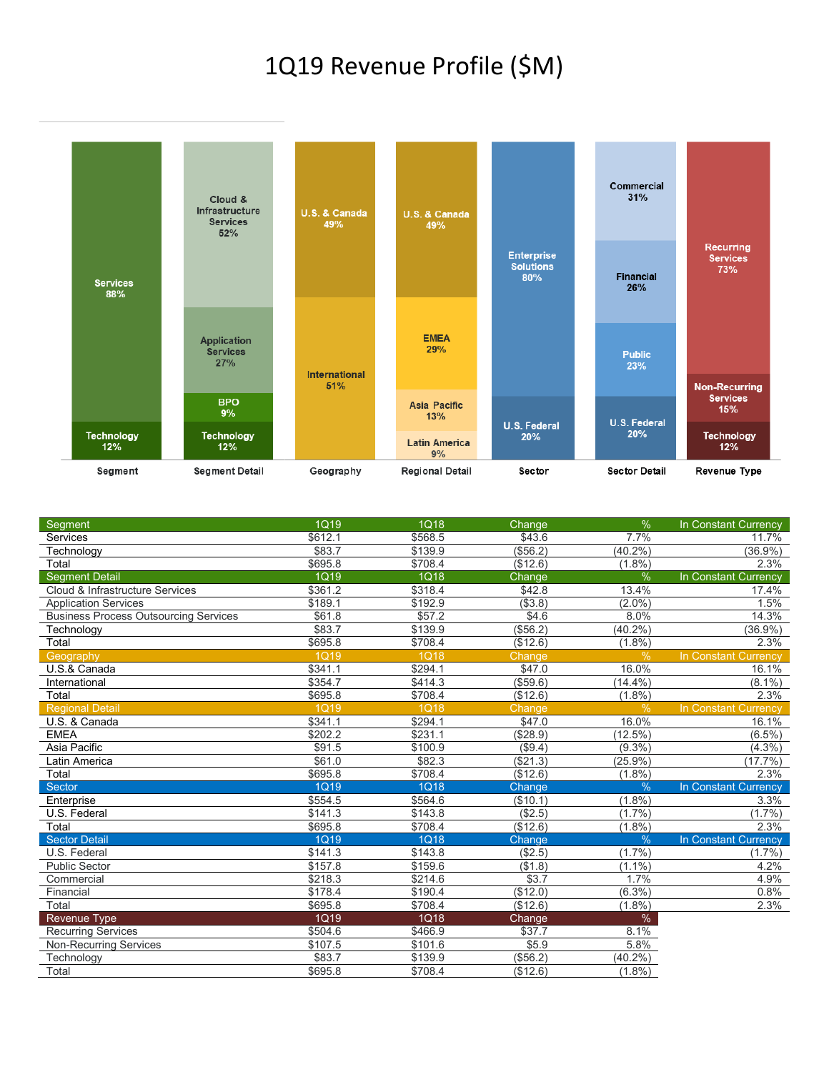## 1Q19 Revenue Profile (\$M)



| <b>Segment</b>                               | <b>1Q19</b> | 1Q18        | Change   | $\frac{9}{6}$ | In Constant Currency        |
|----------------------------------------------|-------------|-------------|----------|---------------|-----------------------------|
| Services                                     | \$612.1     | \$568.5     | \$43.6   | 7.7%          | 11.7%                       |
| Technology                                   | \$83.7      | \$139.9     | (\$56.2) | (40.2%        | $(36.9\%)$                  |
| Total                                        | \$695.8     | \$708.4     | (\$12.6) | $(1.8\%)$     | 2.3%                        |
| <b>Segment Detail</b>                        | 1Q19        | 1Q18        | Change   | $\%$          | In Constant Currency        |
| Cloud & Infrastructure Services              | \$361.2     | \$318.4     | \$42.8   | 13.4%         | 17.4%                       |
| <b>Application Services</b>                  | \$189.1     | \$192.9     | (\$3.8)  | $(2.0\%)$     | 1.5%                        |
| <b>Business Process Outsourcing Services</b> | \$61.8      | \$57.2      | \$4.6    | 8.0%          | 14.3%                       |
| Technology                                   | \$83.7      | \$139.9     | (\$56.2) | (40.2%        | (36.9%)                     |
| Total                                        | \$695.8     | \$708.4     | (\$12.6) | $(1.8\%)$     | 2.3%                        |
| Geography                                    | 1Q19        | <b>1Q18</b> | Change   | %             | <b>In Constant Currency</b> |
| U.S.& Canada                                 | \$341.1     | \$294.1     | \$47.0   | 16.0%         | 16.1%                       |
| International                                | \$354.7     | \$414.3     | (\$59.6) | $(14.4\%)$    | $(8.1\%)$                   |
| Total                                        | \$695.8     | \$708.4     | (\$12.6) | $(1.8\%)$     | 2.3%                        |
| <b>Regional Detail</b>                       | <b>1Q19</b> | <b>1Q18</b> | Change   | %             | In Constant Currency        |
| U.S. & Canada                                | \$341.1     | \$294.1     | \$47.0   | 16.0%         | 16.1%                       |
| <b>EMEA</b>                                  | \$202.2     | \$231.1     | (\$28.9) | (12.5%)       | $(6.5\%)$                   |
| Asia Pacific                                 | \$91.5      | \$100.9     | (\$9.4)  | $(9.3\%)$     | $(4.3\%)$                   |
| Latin America                                | \$61.0      | \$82.3      | (\$21.3) | $(25.9\%)$    | $(17.7\%)$                  |
| Total                                        | \$695.8     | \$708.4     | (\$12.6) | $(1.8\%)$     | 2.3%                        |
| <b>Sector</b>                                | <b>1Q19</b> | <b>1Q18</b> | Change   | $\frac{0}{6}$ | In Constant Currency        |
| Enterprise                                   | \$554.5     | \$564.6     | (\$10.1) | $(1.8\%)$     | 3.3%                        |
| U.S. Federal                                 | \$141.3     | \$143.8     | (\$2.5)  | (1.7%         | $(1.7\%)$                   |
| Total                                        | \$695.8     | \$708.4     | (\$12.6) | $(1.8\%)$     | 2.3%                        |
| <b>Sector Detail</b>                         | <b>1Q19</b> | <b>1Q18</b> | Change   | $\frac{0}{0}$ | In Constant Currency        |
| U.S. Federal                                 | \$141.3     | \$143.8     | (\$2.5)  | $(1.7\%)$     | $(1.7\%)$                   |
| <b>Public Sector</b>                         | \$157.8     | \$159.6     | (\$1.8)  | $(1.1\%)$     | 4.2%                        |
| Commercial                                   | \$218.3     | \$214.6     | \$3.7    | 1.7%          | 4.9%                        |
| Financial                                    | \$178.4     | \$190.4     | (\$12.0) | $(6.3\%)$     | 0.8%                        |
| Total                                        | \$695.8     | \$708.4     | (\$12.6) | $(1.8\%)$     | 2.3%                        |
| <b>Revenue Type</b>                          | 1Q19        | 1Q18        | Change   | $\%$          |                             |
| <b>Recurring Services</b>                    | \$504.6     | \$466.9     | \$37.7   | 8.1%          |                             |
| <b>Non-Recurring Services</b>                | \$107.5     | \$101.6     | \$5.9    | 5.8%          |                             |
| Technology                                   | \$83.7      | \$139.9     | (\$56.2) | $(40.2\%)$    |                             |
| Total                                        | \$695.8     | \$708.4     | (\$12.6) | $(1.8\%)$     |                             |